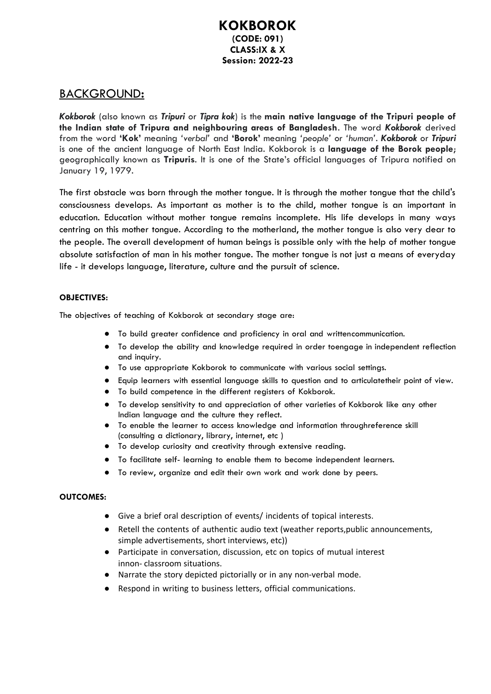### **KOKBOROK (CODE: 091) CLASS:IX & X Session: 2022-23**

## BACKGROUND**:**

*Kokborok* (also known as *Tripuri* or *Tipra kok*) is the **main native language of the Tripuri people of the Indian state of Tripura and neighbouring areas of Bangladesh**. The word *Kokborok* derived from the word **'Kok'** meaning *'verbal'* and **'Borok'** meaning *'people'* or *'human'*. *Kokborok* or *Tripuri* is one of the ancient language of North East India. Kokborok is a **language of the Borok people**; geographically known as **Tripuris**. It is one of the State's official languages of Tripura notified on January 19, 1979.

The first obstacle was born through the mother tongue. It is through the mother tongue that the child's consciousness develops. As important as mother is to the child, mother tongue is an important in education. Education without mother tongue remains incomplete. His life develops in many ways centring on this mother tongue. According to the motherland, the mother tongue is also very dear to the people. The overall development of human beings is possible only with the help of mother tongue absolute satisfaction of man in his mother tongue. The mother tongue is not just a means of everyday life - it develops language, literature, culture and the pursuit of science.

#### **OBJECTIVES:**

The objectives of teaching of Kokborok at secondary stage are:

- To build greater confidence and proficiency in oral and written communication.
- To develop the ability and knowledge required in order toengage in independent reflection and inquiry.
- To use appropriate Kokborok to communicate with various social settings.
- Equip learners with essential language skills to question and to articulatetheir point of view.
- To build competence in the different registers of Kokborok.
- To develop sensitivity to and appreciation of other varieties of Kokborok like any other Indian language and the culture they reflect.
- To enable the learner to access knowledge and information throughreference skill (consulting a dictionary, library, internet, etc )
- To develop curiosity and creativity through extensive reading.
- To facilitate self- learning to enable them to become independent learners.
- To review, organize and edit their own work and work done by peers.

#### **OUTCOMES:**

- Give a brief oral description of events/ incidents of topical interests.
- Retell the contents of authentic audio text (weather reports,public announcements, simple advertisements, short interviews, etc))
- Participate in conversation, discussion, etc on topics of mutual interest innon- classroom situations.
- Narrate the story depicted pictorially or in any non-verbal mode.
- Respond in writing to business letters, official communications.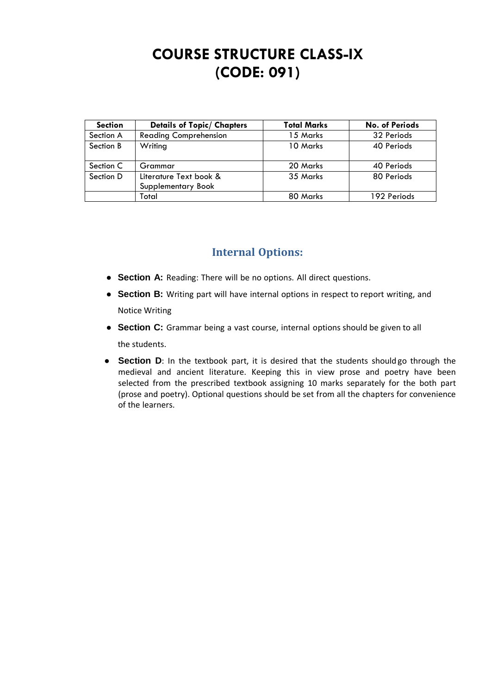# **COURSE STRUCTURE CLASS-IX (CODE: 091)**

| <b>Section</b> | <b>Details of Topic/ Chapters</b>            | <b>Total Marks</b> | <b>No. of Periods</b> |
|----------------|----------------------------------------------|--------------------|-----------------------|
| Section A      | <b>Reading Comprehension</b>                 | 15 Marks           | 32 Periods            |
| Section B      | Writing                                      | 10 Marks           | 40 Periods            |
| Section C      | Grammar                                      | 20 Marks           | 40 Periods            |
| Section D      | Literature Text book &<br>Supplementary Book | 35 Marks           | 80 Periods            |
|                | Total                                        | 80 Marks           | 192 Periods           |

# **Internal Options:**

- **Section A:** Reading: There will be no options. All direct questions.
- **Section B:** Writing part will have internal options in respect to report writing, and Notice Writing
- **Section C:** Grammar being a vast course, internal options should be given to all the students.
- **Section D**: In the textbook part, it is desired that the students shouldgo through the medieval and ancient literature. Keeping this in view prose and poetry have been selected from the prescribed textbook assigning 10 marks separately for the both part (prose and poetry). Optional questions should be set from all the chapters for convenience of the learners.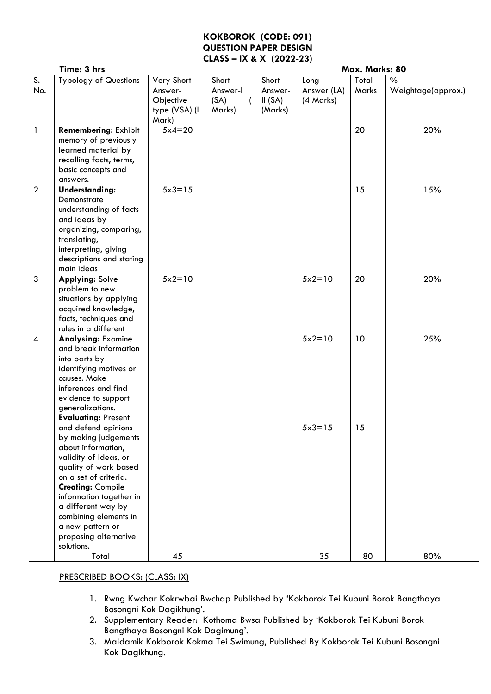### **KOKBOROK (CODE: 091) QUESTION PAPER DESIGN CLASS – IX & X (2022-23)**

|                          | Time: 3 hrs                                                                                                                                                                                                                                                                                                                                                                                                                                                                                                                    |                                                              |                                     | Max. Marks: 80                        |                                  |                |                                     |
|--------------------------|--------------------------------------------------------------------------------------------------------------------------------------------------------------------------------------------------------------------------------------------------------------------------------------------------------------------------------------------------------------------------------------------------------------------------------------------------------------------------------------------------------------------------------|--------------------------------------------------------------|-------------------------------------|---------------------------------------|----------------------------------|----------------|-------------------------------------|
| S.<br>No.                | <b>Typology of Questions</b>                                                                                                                                                                                                                                                                                                                                                                                                                                                                                                   | Very Short<br>Answer-<br>Objective<br>type (VSA) (I<br>Mark) | Short<br>Answer-I<br>(SA)<br>Marks) | Short<br>Answer-<br>II(SA)<br>(Marks) | Long<br>Answer (LA)<br>(4 Marks) | Total<br>Marks | $\frac{0}{0}$<br>Weightage(approx.) |
| $\mathbf{1}$             | <b>Remembering: Exhibit</b><br>memory of previously<br>learned material by<br>recalling facts, terms,<br>basic concepts and<br>answers.                                                                                                                                                                                                                                                                                                                                                                                        | $5x4=20$                                                     |                                     |                                       |                                  | 20             | 20%                                 |
| $\overline{2}$           | Understanding:<br>Demonstrate<br>understanding of facts<br>and ideas by<br>organizing, comparing,<br>translating,<br>interpreting, giving<br>descriptions and stating<br>main ideas                                                                                                                                                                                                                                                                                                                                            | $5x3=15$                                                     |                                     |                                       |                                  | 15             | 15%                                 |
| $\mathfrak{Z}$           | <b>Applying: Solve</b><br>problem to new<br>situations by applying<br>acquired knowledge,<br>facts, techniques and<br>rules in a different                                                                                                                                                                                                                                                                                                                                                                                     | $5x2=10$                                                     |                                     |                                       | $5x2=10$                         | 20             | 20%                                 |
| $\overline{\mathcal{A}}$ | <b>Analysing: Examine</b><br>and break information<br>into parts by<br>identifying motives or<br>causes. Make<br>inferences and find<br>evidence to support<br>generalizations.<br><b>Evaluating: Present</b><br>and defend opinions<br>by making judgements<br>about information,<br>validity of ideas, or<br>quality of work based<br>on a set of criteria.<br><b>Creating: Compile</b><br>information together in<br>a different way by<br>combining elements in<br>a new pattern or<br>proposing alternative<br>solutions. |                                                              |                                     |                                       | $5x2=10$<br>$5x3=15$             | 10<br>15       | 25%                                 |
|                          | Total                                                                                                                                                                                                                                                                                                                                                                                                                                                                                                                          | 45                                                           |                                     |                                       | 35                               | 80             | 80%                                 |

### PRESCRIBED BOOKS: (CLASS: IX)

- 1. Rwng Kwchar Kokrwbai Bwchap Published by 'Kokborok Tei Kubuni Borok Bangthaya Bosongni Kok Dagikhung'.
- 2. Supplementary Reader: Kothoma Bwsa Published by 'Kokborok Tei Kubuni Borok Bangthaya Bosongni Kok Dagimung'.
- 3. Maidamik Kokborok Kokma Tei Swimung, Published By Kokborok Tei Kubuni Bosongni Kok Dagikhung.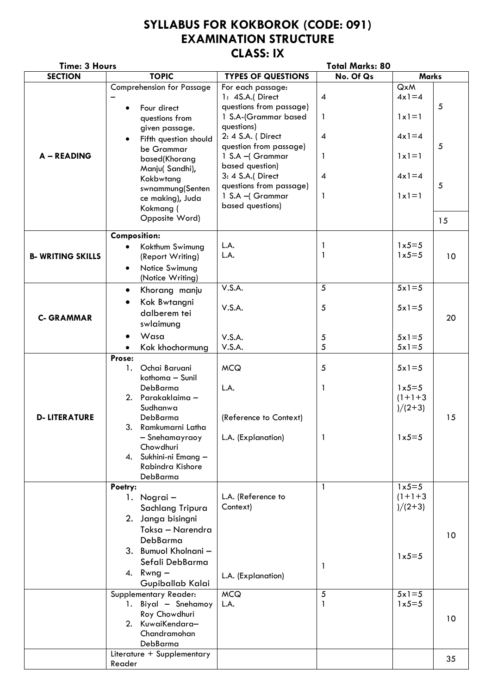# **SYLLABUS FOR KOKBOROK (CODE: 091) EXAMINATION STRUCTURE CLASS: IX**

| <b>Time: 3 Hours</b>    |                                    | <b>Total Marks: 80</b>    |                          |                  |            |
|-------------------------|------------------------------------|---------------------------|--------------------------|------------------|------------|
| <b>SECTION</b>          | <b>TOPIC</b>                       | <b>TYPES OF QUESTIONS</b> | No. Of Qs                | <b>Marks</b>     |            |
|                         | <b>Comprehension for Passage</b>   | For each passage:         |                          | QxM              |            |
|                         |                                    | 1: 4S.A.(Direct           | $\boldsymbol{4}$         | $4x1=4$          |            |
|                         | Four direct<br>$\bullet$           | questions from passage)   |                          |                  | $\sqrt{5}$ |
|                         | questions from                     | 1 S.A-(Grammar based      | 1                        | $1 \times 1 = 1$ |            |
|                         | given passage.                     | questions)                |                          |                  |            |
|                         | Fifth question should<br>$\bullet$ | 2: 4 S.A. (Direct         | $\overline{\mathcal{A}}$ | $4x1=4$          |            |
|                         | be Grammar                         | question from passage)    |                          |                  | 5          |
| A - READING             | based(Khorang                      | 1 S.A - Grammar           | 1                        | $1x1=1$          |            |
|                         | Manju(Sandhi),                     | based question)           |                          |                  |            |
|                         | Kokbwtang                          | 3: 4 S.A.(Direct          | $\boldsymbol{4}$         | $4x1=4$          |            |
|                         | swnammung(Senten                   | questions from passage)   |                          |                  | 5          |
|                         | ce making), Juda                   | 1 S.A - Grammar           | 1                        | $1x1=1$          |            |
|                         | Kokmang (                          | based questions)          |                          |                  |            |
|                         | Opposite Word)                     |                           |                          |                  | 15         |
|                         |                                    |                           |                          |                  |            |
|                         | <b>Composition:</b>                |                           |                          |                  |            |
|                         | Kokthum Swimung                    | L.A.                      | 1                        | $1x5=5$          |            |
| <b>B-WRITING SKILLS</b> | (Report Writing)                   | L.A.                      | 1                        | $1x5=5$          | 10         |
|                         | Notice Swimung<br>$\bullet$        |                           |                          |                  |            |
|                         | (Notice Writing)                   |                           |                          |                  |            |
|                         | Khorang manju<br>$\bullet$         | V.S.A.                    | 5                        | $5x1=5$          |            |
|                         |                                    |                           |                          |                  |            |
|                         | Kok Bwtangni                       | V.S.A.                    | 5                        | $5x1=5$          |            |
| <b>C- GRAMMAR</b>       | dalberem tei                       |                           |                          |                  | 20         |
|                         | swlaimung                          |                           |                          |                  |            |
|                         | Wasa<br>$\bullet$                  | V.S.A.                    | 5                        | $5x1=5$          |            |
|                         | Kok khochormung                    | V.S.A.                    | 5                        | $5x1=5$          |            |
|                         | Prose:                             |                           |                          |                  |            |
|                         | Ochai Baruani<br>1.                | <b>MCQ</b>                | 5                        | $5x1=5$          |            |
|                         | kothoma - Sunil                    |                           |                          |                  |            |
|                         | DebBarma                           | L.A.                      | $\mathbf{1}$             | $1x5=5$          |            |
|                         | Parakaklaima -<br>2.               |                           |                          | $(1+1+3)$        |            |
|                         | Sudhanwa                           |                           |                          | $)/(2+3)$        |            |
| <b>D-LITERATURE</b>     | DebBarma                           | (Reference to Context)    |                          |                  | 15         |
|                         | 3.<br>Ramkumarni Latha             |                           |                          |                  |            |
|                         | - Snehamayraoy                     | L.A. (Explanation)        | 1                        | $1x5=5$          |            |
|                         | Chowdhuri                          |                           |                          |                  |            |
|                         | Sukhini-ni Emang -<br>4.           |                           |                          |                  |            |
|                         | Rabindra Kishore                   |                           |                          |                  |            |
|                         | DebBarma                           |                           |                          |                  |            |
|                         | Poetry:                            |                           | 1                        | $1x5=5$          |            |
|                         | Nograi-<br>1.                      | L.A. (Reference to        |                          | $(1+1+3)$        |            |
|                         | Sachlang Tripura                   | Context)                  |                          | $)/(2+3)$        |            |
|                         | 2. Janga bisingni                  |                           |                          |                  |            |
|                         | Toksa - Narendra                   |                           |                          |                  |            |
|                         | DebBarma                           |                           |                          |                  | 10         |
|                         | 3. Bumuol Kholnani -               |                           |                          |                  |            |
|                         | Sefali DebBarma                    |                           |                          | $1x5=5$          |            |
|                         | 4. Rwng $-$                        |                           | $\mathbf{1}$             |                  |            |
|                         | Gupiballab Kalai                   | L.A. (Explanation)        |                          |                  |            |
|                         | Supplementary Reader:              | <b>MCQ</b>                | 5                        | $5x1=5$          |            |
|                         | 1. Biyal - Snehamoy                | L.A.                      | 1                        | $1x5=5$          |            |
|                         | Roy Chowdhuri                      |                           |                          |                  |            |
|                         | 2. KuwaiKendara-                   |                           |                          |                  | 10         |
|                         | Chandramohan                       |                           |                          |                  |            |
|                         | DebBarma                           |                           |                          |                  |            |
|                         | Literature + Supplementary         |                           |                          |                  |            |
|                         | Reader                             |                           |                          |                  | 35         |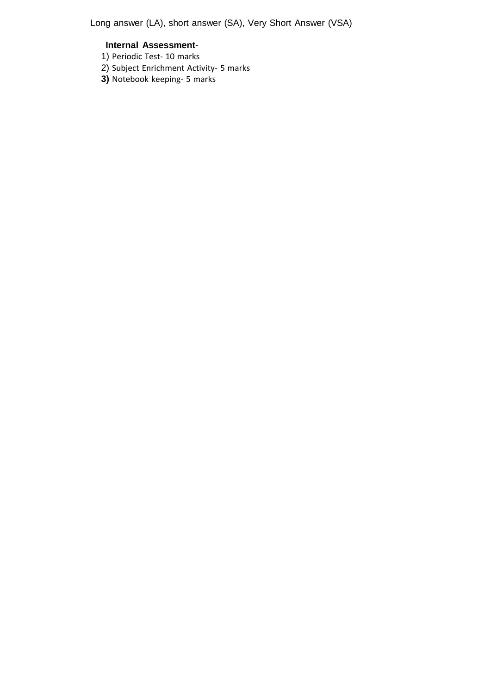Long answer (LA), short answer (SA), Very Short Answer (VSA)

### **Internal Assessment**-

- 1) Periodic Test- 10 marks
- 2) Subject Enrichment Activity- 5 marks
- **3)** Notebook keeping- 5 marks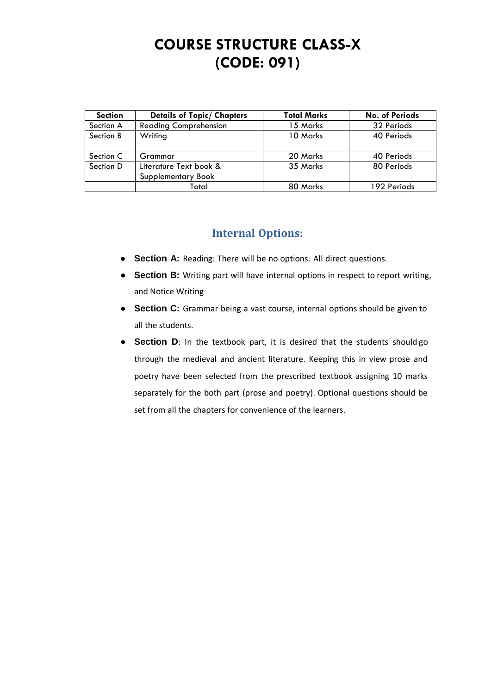# **COURSE STRUCTURE CLASS-X (CODE: 091)**

| <b>Section</b> | <b>Details of Topic/ Chapters</b>            | <b>Total Marks</b> | <b>No. of Periods</b> |
|----------------|----------------------------------------------|--------------------|-----------------------|
| Section A      | <b>Reading Comprehension</b>                 | 15 Marks           | 32 Periods            |
| Section B      | Writing                                      | 10 Marks           | 40 Periods            |
| Section C      | Grammar                                      | 20 Marks           | 40 Periods            |
| Section D      | Literature Text book &<br>Supplementary Book | 35 Marks           | 80 Periods            |
|                | Total                                        | 80 Marks           | 192 Periods           |

# **Internal Options:**

- **Section A:** Reading: There will be no options. All direct questions.
- **Section B:** Writing part will have internal options in respect to report writing, and Notice Writing
- **Section C:** Grammar being a vast course, internal options should be given to all the students.
- **Section D**: In the textbook part, it is desired that the students should go through the medieval and ancient literature. Keeping this in view prose and poetry have been selected from the prescribed textbook assigning 10 marks separately for the both part (prose and poetry). Optional questions should be set from all the chapters for convenience of the learners.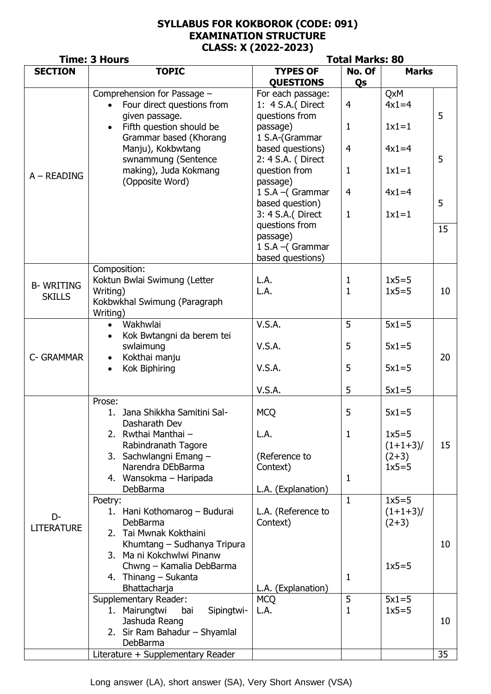## **SYLLABUS FOR KOKBOROK (CODE: 091) EXAMINATION STRUCTURE CLASS: X (2022-2023)**

|                                   | <b>Time: 3 Hours</b>                                                                                    | <b>Total Marks: 80</b>                                               |                                |                                 |              |  |  |
|-----------------------------------|---------------------------------------------------------------------------------------------------------|----------------------------------------------------------------------|--------------------------------|---------------------------------|--------------|--|--|
| <b>SECTION</b>                    | <b>TOPIC</b>                                                                                            | <b>TYPES OF</b><br>No. Of<br><b>QUESTIONS</b><br>Qs                  |                                |                                 | <b>Marks</b> |  |  |
| $A - READING$                     | Comprehension for Passage -<br>Four direct questions from<br>given passage.<br>Fifth question should be | For each passage:<br>1: 4 S.A. (Direct<br>questions from<br>passage) | 4<br>$\mathbf{1}$              | QxM<br>$4x1=4$<br>$1x1=1$       | 5            |  |  |
|                                   | Grammar based (Khorang<br>Manju), Kokbwtang<br>swnammung (Sentence                                      | 1 S.A-(Grammar<br>based questions)<br>2: 4 S.A. (Direct              | 4                              | $4x1=4$                         | 5            |  |  |
|                                   | making), Juda Kokmang<br>(Opposite Word)                                                                | question from<br>passage)                                            | $\mathbf{1}$                   | $1x1=1$                         |              |  |  |
|                                   |                                                                                                         | 1 S.A - (Grammar<br>based question)<br>3: 4 S.A. (Direct             | $\overline{4}$<br>$\mathbf{1}$ | $4x1=4$<br>$1x1=1$              | 5            |  |  |
|                                   |                                                                                                         | questions from<br>passage)<br>1 S.A - (Grammar<br>based questions)   |                                |                                 | 15           |  |  |
| <b>B-WRITING</b><br><b>SKILLS</b> | Composition:<br>Koktun Bwlai Swimung (Letter<br>Writing)<br>Kokbwkhal Swimung (Paragraph<br>Writing)    | L.A.<br>L.A.                                                         | $\mathbf{1}$<br>$\mathbf{1}$   | $1x5=5$<br>$1x5=5$              | 10           |  |  |
|                                   | Wakhwlai<br>$\bullet$<br>Kok Bwtangni da berem tei                                                      | V.S.A.                                                               | 5                              | $5x1=5$                         |              |  |  |
| C- GRAMMAR                        | swlaimung<br>Kokthai manju                                                                              | V.S.A.                                                               | 5                              | $5x1=5$                         | 20           |  |  |
|                                   | <b>Kok Biphiring</b>                                                                                    | V.S.A.                                                               | 5                              | $5x1=5$                         |              |  |  |
|                                   |                                                                                                         | V.S.A.                                                               | 5                              | $5x1=5$                         |              |  |  |
|                                   | Prose:<br>Jana Shikkha Samitini Sal-<br>1.<br>Dasharath Dev                                             | <b>MCQ</b>                                                           | 5                              | $5x1=5$                         |              |  |  |
|                                   | 2. Rwthai Manthai -<br>Rabindranath Tagore                                                              | L.A.                                                                 | $\mathbf{1}$                   | $1x5=5$<br>$(1+1+3)$            | 15           |  |  |
|                                   | 3. Sachwlangni Emang -<br>Narendra DEbBarma                                                             | (Reference to<br>Context)                                            | $(2+3)$<br>$1x5=5$             |                                 |              |  |  |
|                                   | 4. Wansokma – Haripada<br>DebBarma                                                                      | L.A. (Explanation)                                                   | $\mathbf{1}$                   |                                 |              |  |  |
| D-<br><b>LITERATURE</b>           | Poetry:<br>1. Hani Kothomarog - Budurai<br>DebBarma<br>2. Tai Mwnak Kokthaini                           | L.A. (Reference to<br>Context)                                       | $\mathbf{1}$                   | $1x5=5$<br>$(1+1+3)$<br>$(2+3)$ |              |  |  |
|                                   | Khumtang - Sudhanya Tripura<br>3. Ma ni Kokchwlwi Pinanw                                                |                                                                      |                                |                                 | 10           |  |  |
|                                   | Chwng - Kamalia DebBarma<br>4. Thinang - Sukanta<br>Bhattacharja                                        | L.A. (Explanation)                                                   | 1                              | $1x5=5$                         |              |  |  |
|                                   | Supplementary Reader:<br>1. Mairungtwi<br>bai<br>Sipingtwi-<br>Jashuda Reang                            | <b>MCQ</b><br>L.A.                                                   | 5<br>1                         | $5x1=5$<br>$1x5=5$              | 10           |  |  |
|                                   | 2. Sir Ram Bahadur - Shyamlal<br>DebBarma                                                               |                                                                      |                                |                                 |              |  |  |
|                                   | Literature + Supplementary Reader                                                                       |                                                                      |                                |                                 | 35           |  |  |